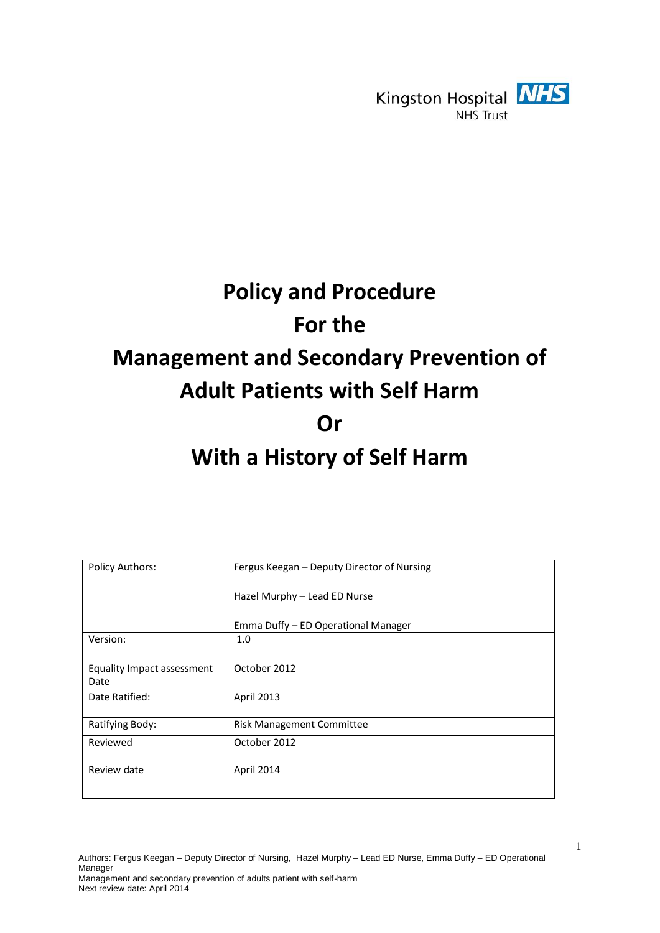

# **Policy and Procedure For the Management and Secondary Prevention of Adult Patients with Self Harm Or With a History of Self Harm**

| <b>Policy Authors:</b>             | Fergus Keegan - Deputy Director of Nursing |
|------------------------------------|--------------------------------------------|
|                                    | Hazel Murphy - Lead ED Nurse               |
|                                    | Emma Duffy - ED Operational Manager        |
| Version:                           | 1.0                                        |
| Equality Impact assessment<br>Date | October 2012                               |
| Date Ratified:                     | April 2013                                 |
| Ratifying Body:                    | Risk Management Committee                  |
| Reviewed                           | October 2012                               |
| Review date                        | April 2014                                 |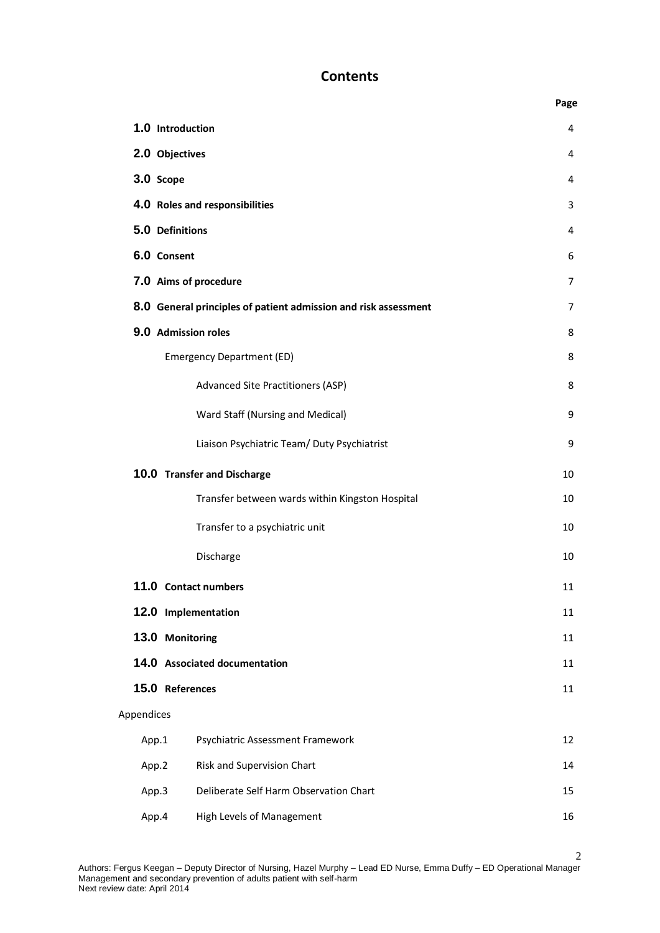### **Contents**

|            |                                                                 | Page |  |  |  |  |
|------------|-----------------------------------------------------------------|------|--|--|--|--|
|            | 1.0 Introduction                                                | 4    |  |  |  |  |
|            | 2.0 Objectives                                                  |      |  |  |  |  |
| 3.0 Scope  | 4                                                               |      |  |  |  |  |
|            | 4.0 Roles and responsibilities                                  |      |  |  |  |  |
|            | 5.0 Definitions                                                 | 4    |  |  |  |  |
|            | 6.0 Consent                                                     | 6    |  |  |  |  |
|            | 7.0 Aims of procedure                                           | 7    |  |  |  |  |
|            | 8.0 General principles of patient admission and risk assessment | 7    |  |  |  |  |
|            | 9.0 Admission roles                                             | 8    |  |  |  |  |
|            | <b>Emergency Department (ED)</b>                                | 8    |  |  |  |  |
|            | <b>Advanced Site Practitioners (ASP)</b>                        | 8    |  |  |  |  |
|            | Ward Staff (Nursing and Medical)                                | 9    |  |  |  |  |
|            | Liaison Psychiatric Team/ Duty Psychiatrist                     | 9    |  |  |  |  |
|            | 10.0 Transfer and Discharge                                     | 10   |  |  |  |  |
|            | Transfer between wards within Kingston Hospital                 | 10   |  |  |  |  |
|            | Transfer to a psychiatric unit                                  | 10   |  |  |  |  |
|            | Discharge                                                       | 10   |  |  |  |  |
|            | 11.0 Contact numbers                                            | 11   |  |  |  |  |
|            | 12.0 Implementation                                             | 11   |  |  |  |  |
|            | 13.0 Monitoring                                                 | 11   |  |  |  |  |
|            | 14.0 Associated documentation                                   | 11   |  |  |  |  |
|            | 15.0 References                                                 | 11   |  |  |  |  |
| Appendices |                                                                 |      |  |  |  |  |
| App.1      | Psychiatric Assessment Framework                                | 12   |  |  |  |  |
| App.2      | Risk and Supervision Chart                                      | 14   |  |  |  |  |
| App.3      | Deliberate Self Harm Observation Chart                          | 15   |  |  |  |  |
| App.4      | High Levels of Management                                       | 16   |  |  |  |  |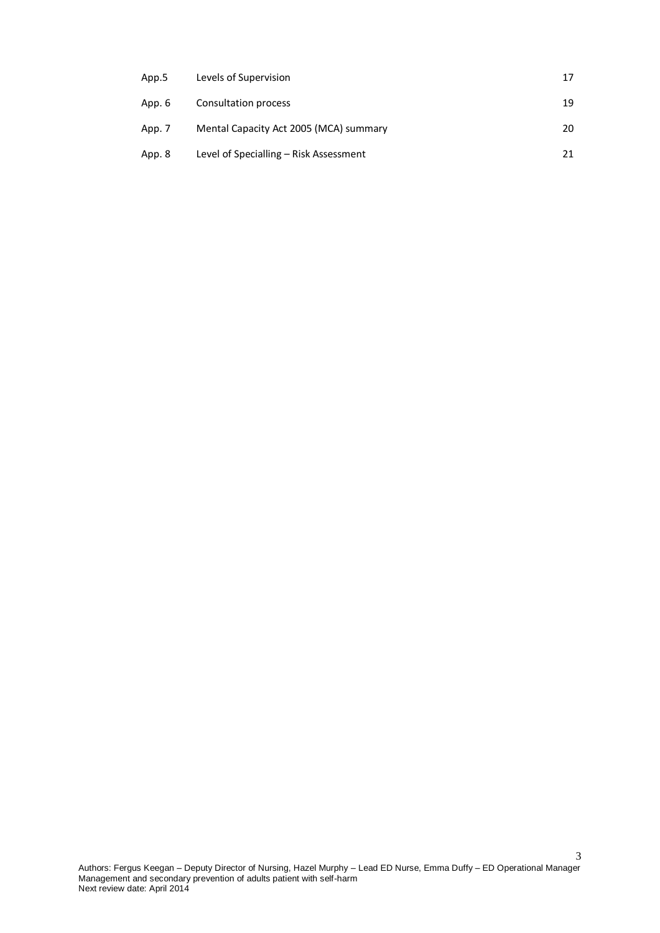| App.5  | Levels of Supervision                  | 17 |
|--------|----------------------------------------|----|
| App. 6 | Consultation process                   | 19 |
| App. 7 | Mental Capacity Act 2005 (MCA) summary | 20 |
| App. 8 | Level of Specialling – Risk Assessment | 21 |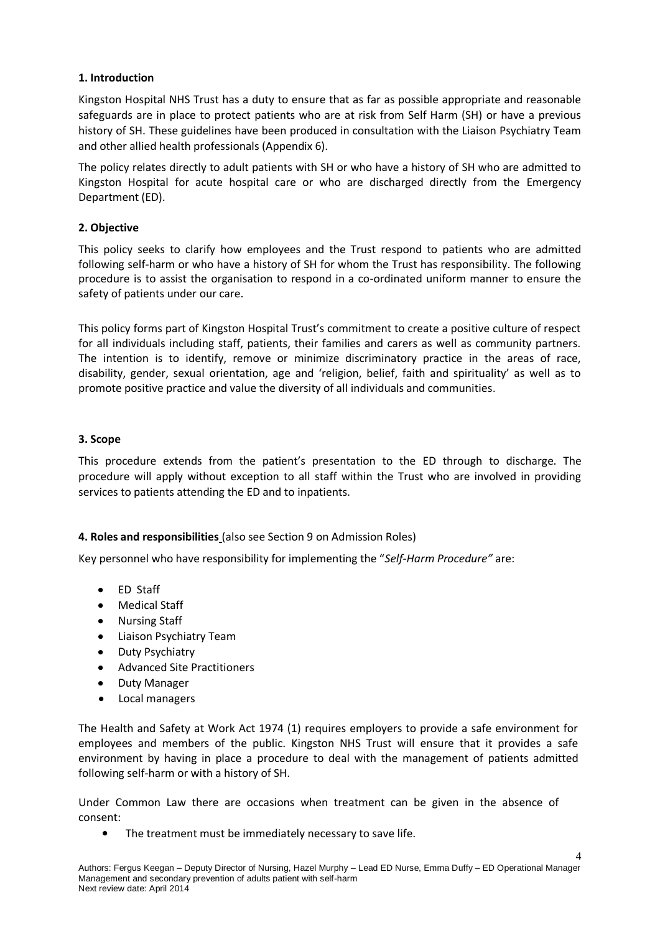#### **1. Introduction**

Kingston Hospital NHS Trust has a duty to ensure that as far as possible appropriate and reasonable safeguards are in place to protect patients who are at risk from Self Harm (SH) or have a previous history of SH. These guidelines have been produced in consultation with the Liaison Psychiatry Team and other allied health professionals (Appendix 6).

The policy relates directly to adult patients with SH or who have a history of SH who are admitted to Kingston Hospital for acute hospital care or who are discharged directly from the Emergency Department (ED).

#### **2. Objective**

This policy seeks to clarify how employees and the Trust respond to patients who are admitted following self-harm or who have a history of SH for whom the Trust has responsibility. The following procedure is to assist the organisation to respond in a co-ordinated uniform manner to ensure the safety of patients under our care.

This policy forms part of Kingston Hospital Trust's commitment to create a positive culture of respect for all individuals including staff, patients, their families and carers as well as community partners. The intention is to identify, remove or minimize discriminatory practice in the areas of race, disability, gender, sexual orientation, age and 'religion, belief, faith and spirituality' as well as to promote positive practice and value the diversity of all individuals and communities.

#### **3. Scope**

This procedure extends from the patient's presentation to the ED through to discharge. The procedure will apply without exception to all staff within the Trust who are involved in providing services to patients attending the ED and to inpatients.

#### **4. Roles and responsibilities** (also see Section 9 on Admission Roles)

Key personnel who have responsibility for implementing the "*Self-Harm Procedure"* are:

- ED Staff
- Medical Staff
- Nursing Staff
- **•** Liaison Psychiatry Team
- Duty Psychiatry
- Advanced Site Practitioners
- $\bullet$ Duty Manager
- Local managers  $\bullet$

The Health and Safety at Work Act 1974 (1) requires employers to provide a safe environment for employees and members of the public. Kingston NHS Trust will ensure that it provides a safe environment by having in place a procedure to deal with the management of patients admitted following self-harm or with a history of SH.

Under Common Law there are occasions when treatment can be given in the absence of consent:

The treatment must be immediately necessary to save life.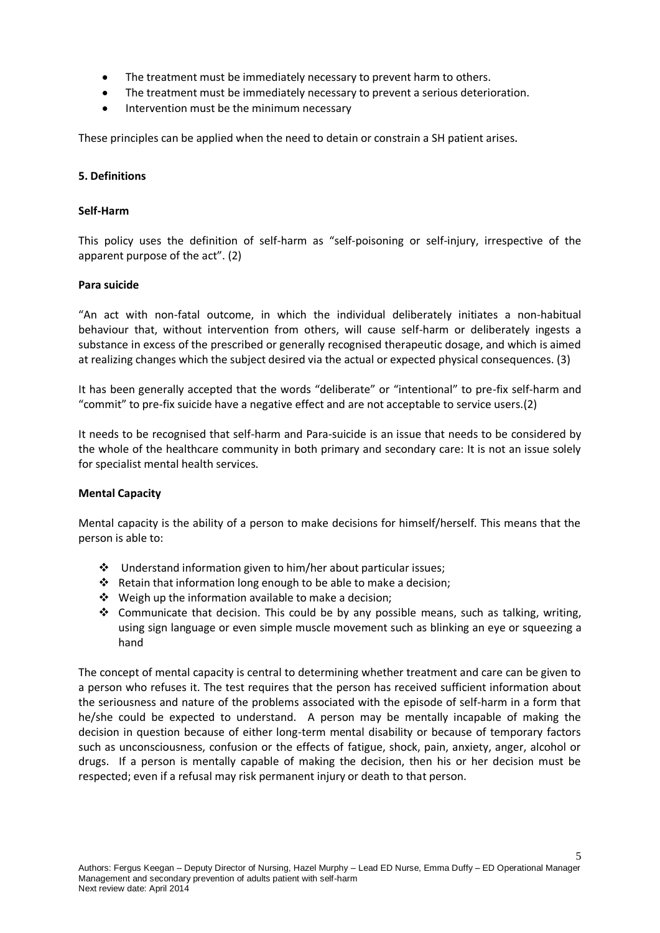- The treatment must be immediately necessary to prevent harm to others.
- The treatment must be immediately necessary to prevent a serious deterioration.
- Intervention must be the minimum necessary

These principles can be applied when the need to detain or constrain a SH patient arises**.**

#### **5. Definitions**

#### **Self-Harm**

This policy uses the definition of self-harm as "self-poisoning or self-injury, irrespective of the apparent purpose of the act". (2)

#### **Para suicide**

"An act with non-fatal outcome, in which the individual deliberately initiates a non-habitual behaviour that, without intervention from others, will cause self-harm or deliberately ingests a substance in excess of the prescribed or generally recognised therapeutic dosage, and which is aimed at realizing changes which the subject desired via the actual or expected physical consequences. (3)

It has been generally accepted that the words "deliberate" or "intentional" to pre-fix self-harm and "commit" to pre-fix suicide have a negative effect and are not acceptable to service users.(2)

It needs to be recognised that self-harm and Para-suicide is an issue that needs to be considered by the whole of the healthcare community in both primary and secondary care: It is not an issue solely for specialist mental health services.

#### **Mental Capacity**

Mental capacity is the ability of a person to make decisions for himself/herself. This means that the person is able to:

- $\div$  Understand information given to him/her about particular issues:
- $\cdot \cdot$  Retain that information long enough to be able to make a decision;
- $\triangleq$  Weigh up the information available to make a decision;
- $\cdot$  Communicate that decision. This could be by any possible means, such as talking, writing, using sign language or even simple muscle movement such as blinking an eye or squeezing a hand

The concept of mental capacity is central to determining whether treatment and care can be given to a person who refuses it. The test requires that the person has received sufficient information about the seriousness and nature of the problems associated with the episode of self-harm in a form that he/she could be expected to understand. A person may be mentally incapable of making the decision in question because of either long-term mental disability or because of temporary factors such as unconsciousness, confusion or the effects of fatigue, shock, pain, anxiety, anger, alcohol or drugs. If a person is mentally capable of making the decision, then his or her decision must be respected; even if a refusal may risk permanent injury or death to that person.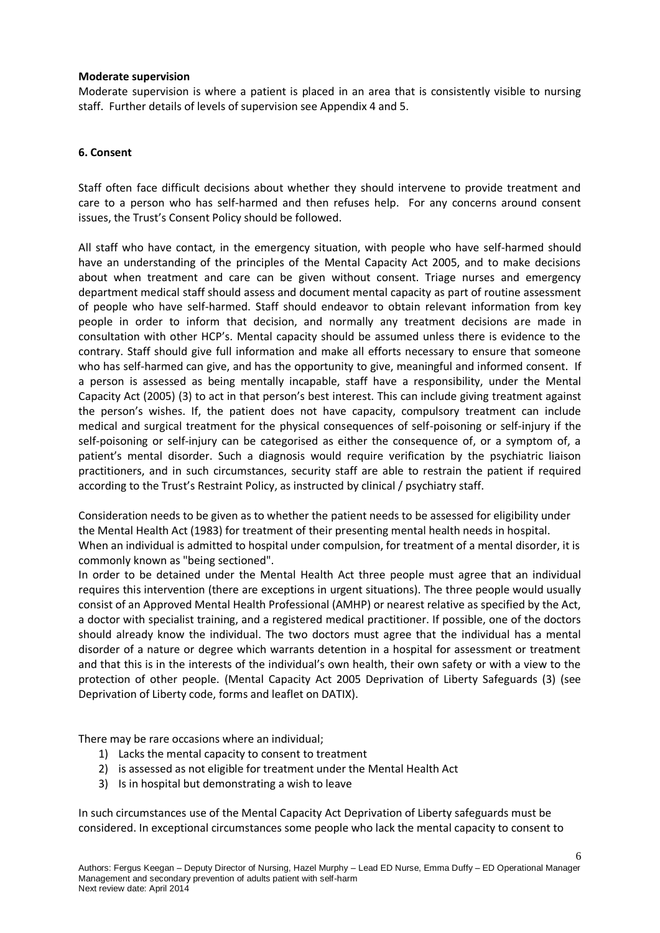#### **Moderate supervision**

Moderate supervision is where a patient is placed in an area that is consistently visible to nursing staff. Further details of levels of supervision see Appendix 4 and 5.

#### **6. Consent**

Staff often face difficult decisions about whether they should intervene to provide treatment and care to a person who has self-harmed and then refuses help. For any concerns around consent issues, the Trust's Consent Policy should be followed.

All staff who have contact, in the emergency situation, with people who have self-harmed should have an understanding of the principles of the Mental Capacity Act 2005, and to make decisions about when treatment and care can be given without consent. Triage nurses and emergency department medical staff should assess and document mental capacity as part of routine assessment of people who have self-harmed. Staff should endeavor to obtain relevant information from key people in order to inform that decision, and normally any treatment decisions are made in consultation with other HCP's. Mental capacity should be assumed unless there is evidence to the contrary. Staff should give full information and make all efforts necessary to ensure that someone who has self-harmed can give, and has the opportunity to give, meaningful and informed consent. If a person is assessed as being mentally incapable, staff have a responsibility, under the Mental Capacity Act (2005) (3) to act in that person's best interest. This can include giving treatment against the person's wishes. If, the patient does not have capacity, compulsory treatment can include medical and surgical treatment for the physical consequences of self-poisoning or self-injury if the self-poisoning or self-injury can be categorised as either the consequence of, or a symptom of, a patient's mental disorder. Such a diagnosis would require verification by the psychiatric liaison practitioners, and in such circumstances, security staff are able to restrain the patient if required according to the Trust's Restraint Policy, as instructed by clinical / psychiatry staff.

Consideration needs to be given as to whether the patient needs to be assessed for eligibility under the Mental Health Act (1983) for treatment of their presenting mental health needs in hospital. When an individual is admitted to hospital under compulsion, for treatment of a mental disorder, it is commonly known as "being sectioned".

In order to be detained under the Mental Health Act three people must agree that an individual requires this intervention (there are exceptions in urgent situations). The three people would usually consist of an Approved Mental Health Professional (AMHP) or nearest relative as specified by the Act, a doctor with specialist training, and a registered medical practitioner. If possible, one of the doctors should already know the individual. The two doctors must agree that the individual has a mental disorder of a nature or degree which warrants detention in a hospital for assessment or treatment and that this is in the interests of the individual's own health, their own safety or with a view to the protection of other people. (Mental Capacity Act 2005 Deprivation of Liberty Safeguards (3) (see Deprivation of Liberty code, forms and leaflet on DATIX).

There may be rare occasions where an individual;

- 1) Lacks the mental capacity to consent to treatment
- 2) is assessed as not eligible for treatment under the Mental Health Act
- 3) Is in hospital but demonstrating a wish to leave

In such circumstances use of the Mental Capacity Act Deprivation of Liberty safeguards must be considered. In exceptional circumstances some people who lack the mental capacity to consent to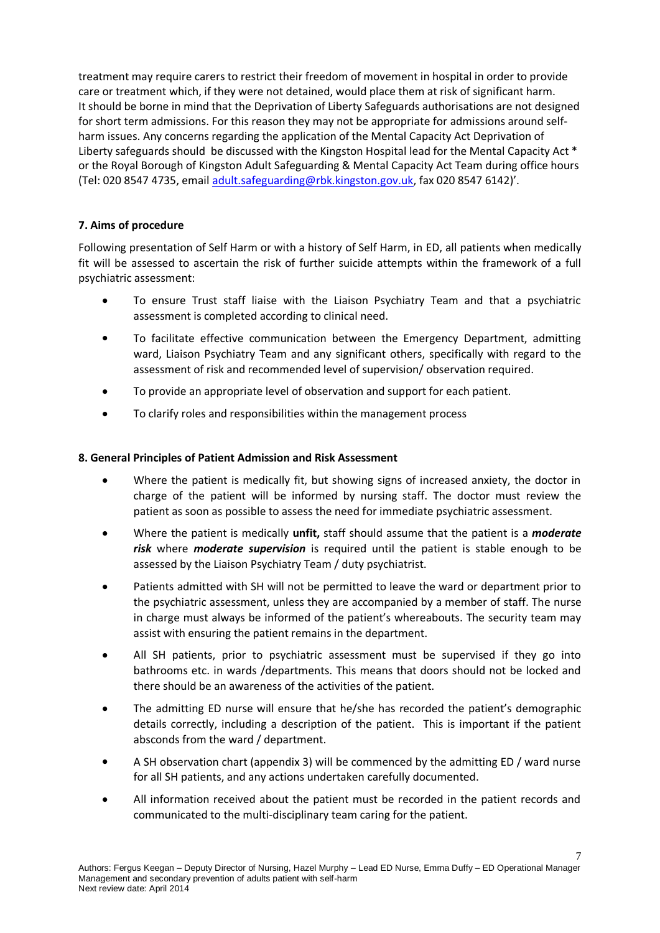treatment may require carers to restrict their freedom of movement in hospital in order to provide care or treatment which, if they were not detained, would place them at risk of significant harm. It should be borne in mind that the Deprivation of Liberty Safeguards authorisations are not designed for short term admissions. For this reason they may not be appropriate for admissions around selfharm issues. Any concerns regarding the application of the Mental Capacity Act Deprivation of Liberty safeguards should be discussed with the Kingston Hospital lead for the Mental Capacity Act \* or the Royal Borough of Kingston Adult Safeguarding & Mental Capacity Act Team during office hours (Tel: 020 8547 4735, email [adult.safeguarding@rbk.kingston.gov.uk,](mailto:adult.safeguarding@rbk.kingston.gov.uk) fax 020 8547 6142)'.

#### **7. Aims of procedure**

Following presentation of Self Harm or with a history of Self Harm, in ED, all patients when medically fit will be assessed to ascertain the risk of further suicide attempts within the framework of a full psychiatric assessment:

- $\bullet$ To ensure Trust staff liaise with the Liaison Psychiatry Team and that a psychiatric assessment is completed according to clinical need.
- To facilitate effective communication between the Emergency Department, admitting ward, Liaison Psychiatry Team and any significant others, specifically with regard to the assessment of risk and recommended level of supervision/ observation required.
- To provide an appropriate level of observation and support for each patient.
- To clarify roles and responsibilities within the management process

#### **8. General Principles of Patient Admission and Risk Assessment**

- Where the patient is medically fit, but showing signs of increased anxiety, the doctor in charge of the patient will be informed by nursing staff. The doctor must review the patient as soon as possible to assess the need for immediate psychiatric assessment.
- Where the patient is medically **unfit,** staff should assume that the patient is a *moderate risk* where *moderate supervision* is required until the patient is stable enough to be assessed by the Liaison Psychiatry Team / duty psychiatrist.
- Patients admitted with SH will not be permitted to leave the ward or department prior to the psychiatric assessment, unless they are accompanied by a member of staff. The nurse in charge must always be informed of the patient's whereabouts. The security team may assist with ensuring the patient remains in the department.
- All SH patients, prior to psychiatric assessment must be supervised if they go into bathrooms etc. in wards /departments. This means that doors should not be locked and there should be an awareness of the activities of the patient.
- The admitting ED nurse will ensure that he/she has recorded the patient's demographic details correctly, including a description of the patient. This is important if the patient absconds from the ward / department.
- A SH observation chart (appendix 3) will be commenced by the admitting ED / ward nurse for all SH patients, and any actions undertaken carefully documented.
- All information received about the patient must be recorded in the patient records and communicated to the multi-disciplinary team caring for the patient.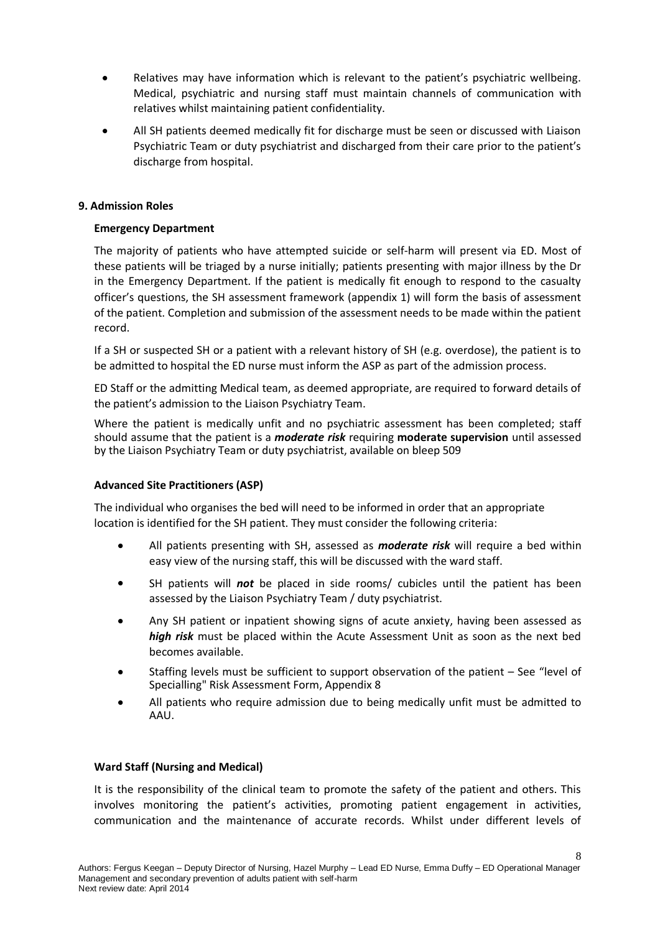- Relatives may have information which is relevant to the patient's psychiatric wellbeing. Medical, psychiatric and nursing staff must maintain channels of communication with relatives whilst maintaining patient confidentiality.
- All SH patients deemed medically fit for discharge must be seen or discussed with Liaison Psychiatric Team or duty psychiatrist and discharged from their care prior to the patient's discharge from hospital.

#### **9. Admission Roles**

#### **Emergency Department**

The majority of patients who have attempted suicide or self-harm will present via ED. Most of these patients will be triaged by a nurse initially; patients presenting with major illness by the Dr in the Emergency Department. If the patient is medically fit enough to respond to the casualty officer's questions, the SH assessment framework (appendix 1) will form the basis of assessment of the patient. Completion and submission of the assessment needs to be made within the patient record.

If a SH or suspected SH or a patient with a relevant history of SH (e.g. overdose), the patient is to be admitted to hospital the ED nurse must inform the ASP as part of the admission process.

ED Staff or the admitting Medical team, as deemed appropriate, are required to forward details of the patient's admission to the Liaison Psychiatry Team.

Where the patient is medically unfit and no psychiatric assessment has been completed; staff should assume that the patient is a *moderate risk* requiring **moderate supervision** until assessed by the Liaison Psychiatry Team or duty psychiatrist, available on bleep 509

#### **Advanced Site Practitioners (ASP)**

The individual who organises the bed will need to be informed in order that an appropriate location is identified for the SH patient. They must consider the following criteria:

- All patients presenting with SH, assessed as *moderate risk* will require a bed within  $\bullet$ easy view of the nursing staff, this will be discussed with the ward staff.
- SH patients will *not* be placed in side rooms/ cubicles until the patient has been assessed by the Liaison Psychiatry Team / duty psychiatrist.
- Any SH patient or inpatient showing signs of acute anxiety, having been assessed as *high risk* must be placed within the Acute Assessment Unit as soon as the next bed becomes available.
- Staffing levels must be sufficient to support observation of the patient See "level of Specialling" Risk Assessment Form, Appendix 8
- All patients who require admission due to being medically unfit must be admitted to AAU.

#### **Ward Staff (Nursing and Medical)**

It is the responsibility of the clinical team to promote the safety of the patient and others. This involves monitoring the patient's activities, promoting patient engagement in activities, communication and the maintenance of accurate records. Whilst under different levels of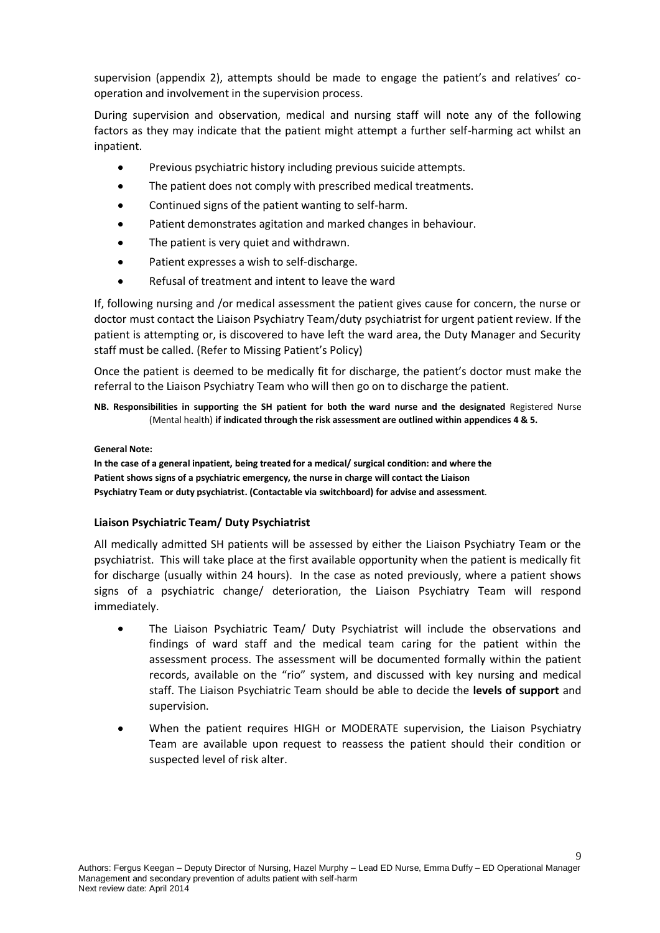supervision (appendix 2), attempts should be made to engage the patient's and relatives' cooperation and involvement in the supervision process.

During supervision and observation, medical and nursing staff will note any of the following factors as they may indicate that the patient might attempt a further self-harming act whilst an inpatient.

- Previous psychiatric history including previous suicide attempts.
- The patient does not comply with prescribed medical treatments.
- Continued signs of the patient wanting to self-harm.
- Patient demonstrates agitation and marked changes in behaviour.
- The patient is very quiet and withdrawn.  $\bullet$
- Patient expresses a wish to self-discharge.
- Refusal of treatment and intent to leave the ward  $\bullet$

If, following nursing and /or medical assessment the patient gives cause for concern, the nurse or doctor must contact the Liaison Psychiatry Team/duty psychiatrist for urgent patient review. If the patient is attempting or, is discovered to have left the ward area, the Duty Manager and Security staff must be called. (Refer to Missing Patient's Policy)

Once the patient is deemed to be medically fit for discharge, the patient's doctor must make the referral to the Liaison Psychiatry Team who will then go on to discharge the patient.

**NB. Responsibilities in supporting the SH patient for both the ward nurse and the designated** Registered Nurse (Mental health) **if indicated through the risk assessment are outlined within appendices 4 & 5.**

#### **General Note:**

**In the case of a general inpatient, being treated for a medical/ surgical condition: and where the Patient shows signs of a psychiatric emergency, the nurse in charge will contact the Liaison Psychiatry Team or duty psychiatrist. (Contactable via switchboard) for advise and assessment**.

#### **Liaison Psychiatric Team/ Duty Psychiatrist**

All medically admitted SH patients will be assessed by either the Liaison Psychiatry Team or the psychiatrist. This will take place at the first available opportunity when the patient is medically fit for discharge (usually within 24 hours). In the case as noted previously, where a patient shows signs of a psychiatric change/ deterioration, the Liaison Psychiatry Team will respond immediately.

- The Liaison Psychiatric Team/ Duty Psychiatrist will include the observations and findings of ward staff and the medical team caring for the patient within the assessment process. The assessment will be documented formally within the patient records, available on the "rio" system, and discussed with key nursing and medical staff. The Liaison Psychiatric Team should be able to decide the **levels of support** and supervision.
- When the patient requires HIGH or MODERATE supervision, the Liaison Psychiatry Team are available upon request to reassess the patient should their condition or suspected level of risk alter.

 $\mathbf Q$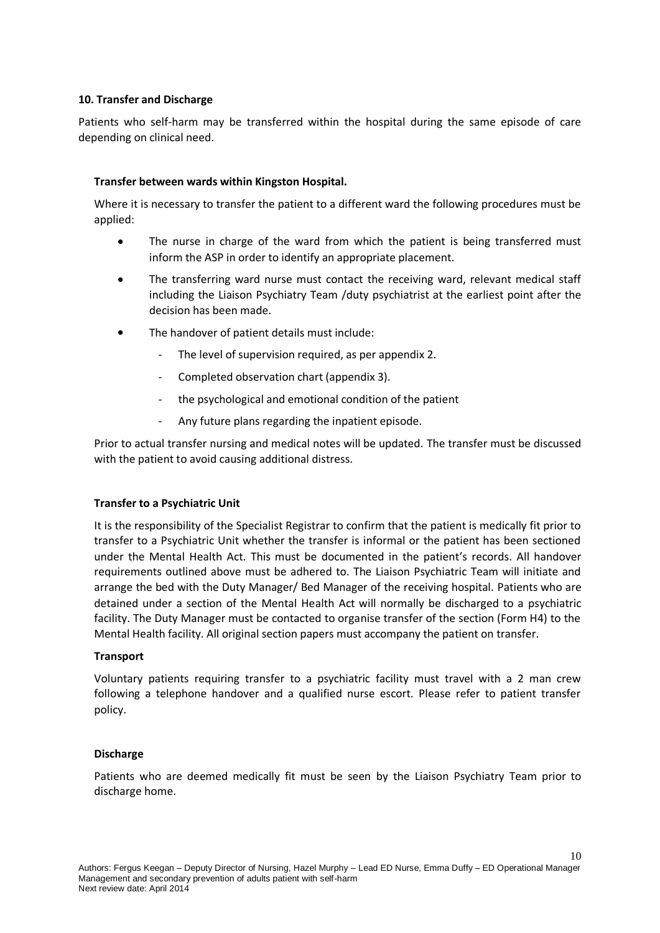#### **10. Transfer and Discharge**

Patients who self-harm may be transferred within the hospital during the same episode of care depending on clinical need.

#### **Transfer between wards within Kingston Hospital.**

Where it is necessary to transfer the patient to a different ward the following procedures must be applied:

- The nurse in charge of the ward from which the patient is being transferred must inform the ASP in order to identify an appropriate placement.
- The transferring ward nurse must contact the receiving ward, relevant medical staff  $\bullet$ including the Liaison Psychiatry Team /duty psychiatrist at the earliest point after the decision has been made.
- The handover of patient details must include:
	- The level of supervision required, as per appendix 2.
	- Completed observation chart (appendix 3).
	- the psychological and emotional condition of the patient
	- Any future plans regarding the inpatient episode.

Prior to actual transfer nursing and medical notes will be updated. The transfer must be discussed with the patient to avoid causing additional distress.

#### **Transfer to a Psychiatric Unit**

It is the responsibility of the Specialist Registrar to confirm that the patient is medically fit prior to transfer to a Psychiatric Unit whether the transfer is informal or the patient has been sectioned under the Mental Health Act. This must be documented in the patient's records. All handover requirements outlined above must be adhered to. The Liaison Psychiatric Team will initiate and arrange the bed with the Duty Manager/ Bed Manager of the receiving hospital. Patients who are detained under a section of the Mental Health Act will normally be discharged to a psychiatric facility. The Duty Manager must be contacted to organise transfer of the section (Form H4) to the Mental Health facility. All original section papers must accompany the patient on transfer.

#### **Transport**

Voluntary patients requiring transfer to a psychiatric facility must travel with a 2 man crew following a telephone handover and a qualified nurse escort. Please refer to patient transfer policy.

#### **Discharge**

Patients who are deemed medically fit must be seen by the Liaison Psychiatry Team prior to discharge home.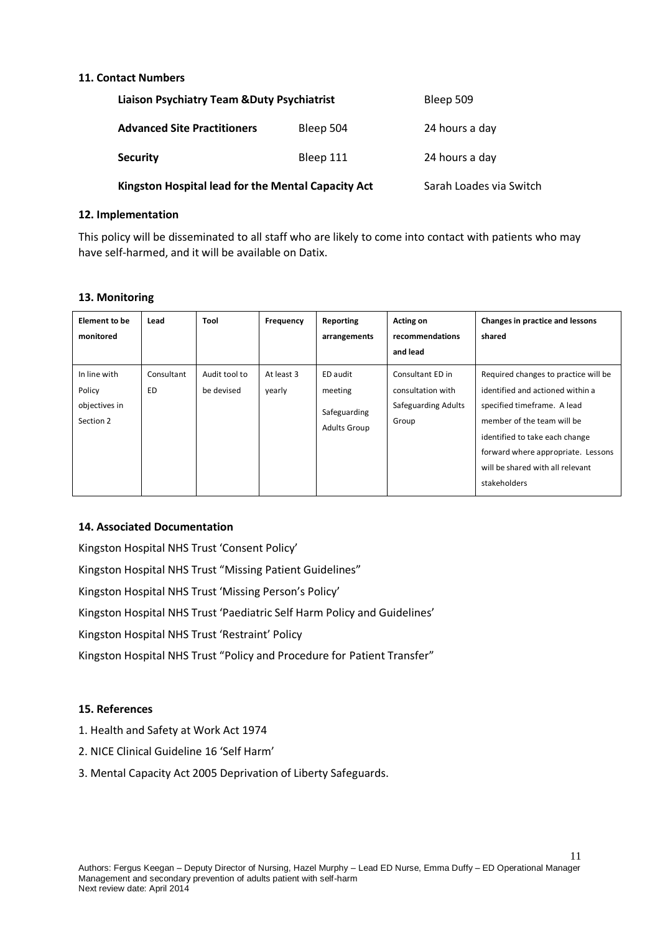#### **11. Contact Numbers**

| <b>Liaison Psychiatry Team &amp; Duty Psychiatrist</b> | Bleep 509               |                |
|--------------------------------------------------------|-------------------------|----------------|
| <b>Advanced Site Practitioners</b>                     | Bleep 504               | 24 hours a day |
| <b>Security</b>                                        | Bleep 111               | 24 hours a day |
| Kingston Hospital lead for the Mental Capacity Act     | Sarah Loades via Switch |                |

#### **12. Implementation**

This policy will be disseminated to all staff who are likely to come into contact with patients who may have self-harmed, and it will be available on Datix.

#### **13. Monitoring**

| <b>Element to be</b><br>monitored                    | Lead                    | Tool                        | Frequency            | Reporting<br>arrangements                                  | Acting on<br>recommendations<br>and lead                              | Changes in practice and lessons<br>shared                                                                                                                                                                                                                         |
|------------------------------------------------------|-------------------------|-----------------------------|----------------------|------------------------------------------------------------|-----------------------------------------------------------------------|-------------------------------------------------------------------------------------------------------------------------------------------------------------------------------------------------------------------------------------------------------------------|
| In line with<br>Policy<br>objectives in<br>Section 2 | Consultant<br><b>ED</b> | Audit tool to<br>be devised | At least 3<br>yearly | ED audit<br>meeting<br>Safeguarding<br><b>Adults Group</b> | Consultant ED in<br>consultation with<br>Safeguarding Adults<br>Group | Required changes to practice will be<br>identified and actioned within a<br>specified timeframe. A lead<br>member of the team will be<br>identified to take each change<br>forward where appropriate. Lessons<br>will be shared with all relevant<br>stakeholders |

#### **14. Associated Documentation**

Kingston Hospital NHS Trust 'Consent Policy' Kingston Hospital NHS Trust "Missing Patient Guidelines" Kingston Hospital NHS Trust 'Missing Person's Policy' Kingston Hospital NHS Trust 'Paediatric Self Harm Policy and Guidelines' Kingston Hospital NHS Trust 'Restraint' Policy Kingston Hospital NHS Trust "Policy and Procedure for Patient Transfer"

#### **15. References**

- 1. Health and Safety at Work Act 1974
- 2. NICE Clinical Guideline 16 'Self Harm'
- 3. Mental Capacity Act 2005 Deprivation of Liberty Safeguards.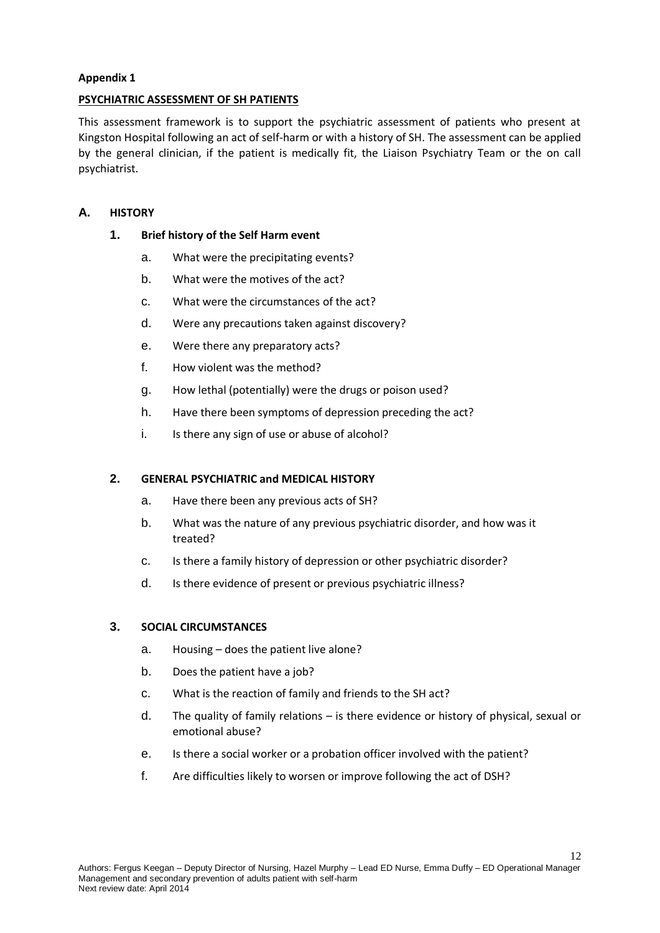#### **PSYCHIATRIC ASSESSMENT OF SH PATIENTS**

This assessment framework is to support the psychiatric assessment of patients who present at Kingston Hospital following an act of self-harm or with a history of SH. The assessment can be applied by the general clinician, if the patient is medically fit, the Liaison Psychiatry Team or the on call psychiatrist.

### **A. HISTORY**

#### **1. Brief history of the Self Harm event**

- a. What were the precipitating events?
- b. What were the motives of the act?
- c. What were the circumstances of the act?
- d. Were any precautions taken against discovery?
- e. Were there any preparatory acts?
- f. How violent was the method?
- g. How lethal (potentially) were the drugs or poison used?
- h. Have there been symptoms of depression preceding the act?
- i. Is there any sign of use or abuse of alcohol?

#### **2. GENERAL PSYCHIATRIC and MEDICAL HISTORY**

- a. Have there been any previous acts of SH?
- b. What was the nature of any previous psychiatric disorder, and how was it treated?
- c. Is there a family history of depression or other psychiatric disorder?
- d. Is there evidence of present or previous psychiatric illness?

#### **3. SOCIAL CIRCUMSTANCES**

- a. Housing does the patient live alone?
- b. Does the patient have a job?
- c. What is the reaction of family and friends to the SH act?
- d. The quality of family relations is there evidence or history of physical, sexual or emotional abuse?
- e. Is there a social worker or a probation officer involved with the patient?
- f. Are difficulties likely to worsen or improve following the act of DSH?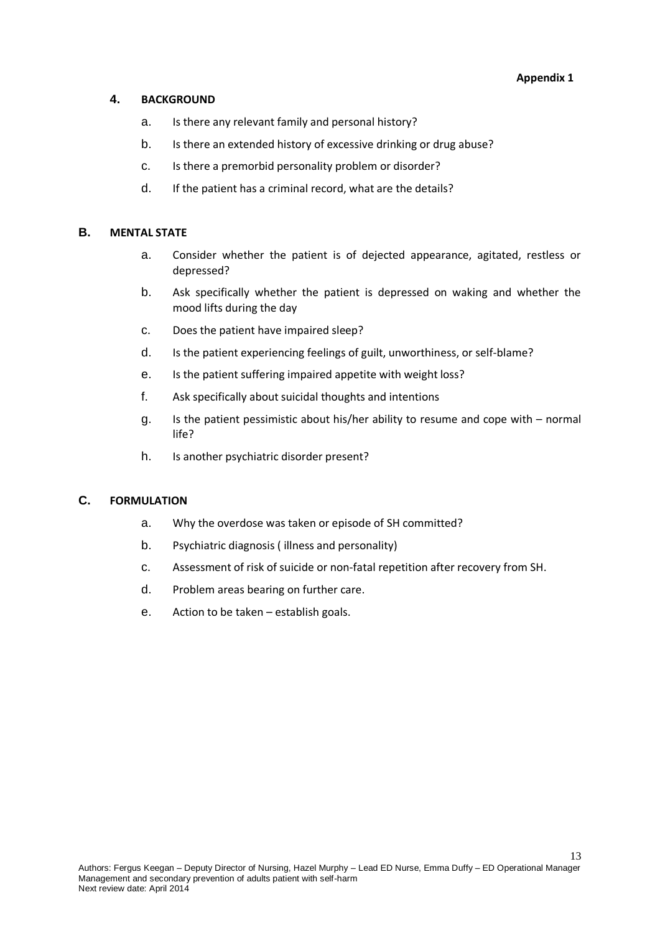#### **4. BACKGROUND**

- a. Is there any relevant family and personal history?
- b. Is there an extended history of excessive drinking or drug abuse?
- c. Is there a premorbid personality problem or disorder?
- d. If the patient has a criminal record, what are the details?

#### **B. MENTAL STATE**

- a. Consider whether the patient is of dejected appearance, agitated, restless or depressed?
- b. Ask specifically whether the patient is depressed on waking and whether the mood lifts during the day
- c. Does the patient have impaired sleep?
- d. Is the patient experiencing feelings of guilt, unworthiness, or self-blame?
- e. Is the patient suffering impaired appetite with weight loss?
- f. Ask specifically about suicidal thoughts and intentions
- g. Is the patient pessimistic about his/her ability to resume and cope with normal life?
- h. Is another psychiatric disorder present?

#### **C. FORMULATION**

- a. Why the overdose was taken or episode of SH committed?
- b. Psychiatric diagnosis ( illness and personality)
- c. Assessment of risk of suicide or non-fatal repetition after recovery from SH.
- d. Problem areas bearing on further care.
- e. Action to be taken establish goals.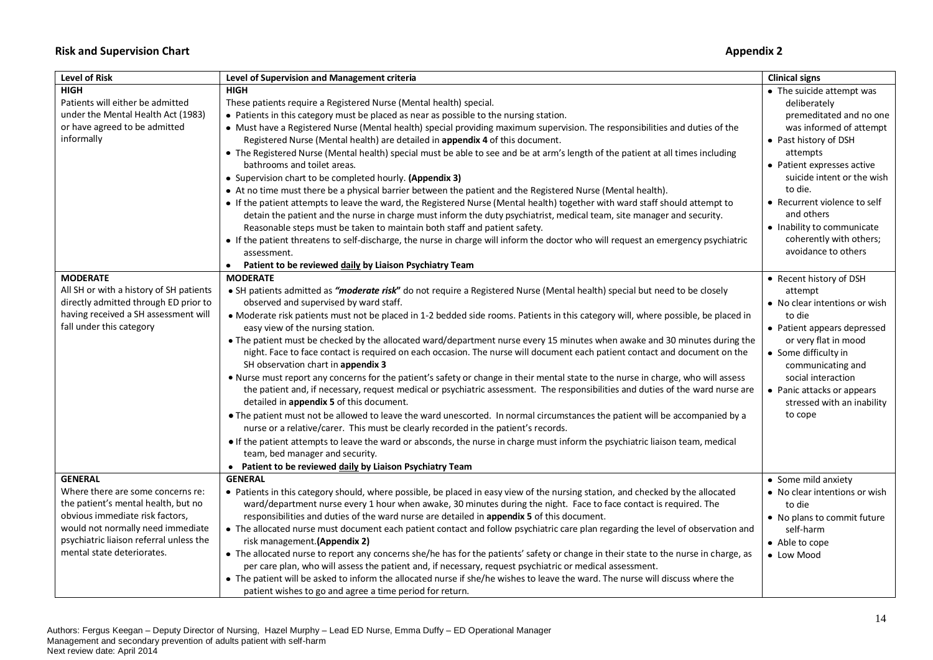#### **Risk and Supervision Chart Appendix 2**

| <b>Level of Risk</b>                    | Level of Supervision and Management criteria                                                                                                                                                                       | <b>Clinical signs</b>                                    |
|-----------------------------------------|--------------------------------------------------------------------------------------------------------------------------------------------------------------------------------------------------------------------|----------------------------------------------------------|
| <b>HIGH</b>                             | <b>HIGH</b>                                                                                                                                                                                                        | • The suicide attempt was                                |
| Patients will either be admitted        | These patients require a Registered Nurse (Mental health) special.                                                                                                                                                 | deliberately                                             |
| under the Mental Health Act (1983)      | • Patients in this category must be placed as near as possible to the nursing station.                                                                                                                             | premeditated and no one                                  |
| or have agreed to be admitted           | • Must have a Registered Nurse (Mental health) special providing maximum supervision. The responsibilities and duties of the                                                                                       | was informed of attempt                                  |
| informally                              | Registered Nurse (Mental health) are detailed in appendix 4 of this document.                                                                                                                                      | • Past history of DSH                                    |
|                                         | • The Registered Nurse (Mental health) special must be able to see and be at arm's length of the patient at all times including<br>bathrooms and toilet areas.                                                     | attempts<br>• Patient expresses active                   |
|                                         | • Supervision chart to be completed hourly. (Appendix 3)                                                                                                                                                           | suicide intent or the wish                               |
|                                         | • At no time must there be a physical barrier between the patient and the Registered Nurse (Mental health).                                                                                                        | to die.                                                  |
|                                         |                                                                                                                                                                                                                    | • Recurrent violence to self                             |
|                                         | • If the patient attempts to leave the ward, the Registered Nurse (Mental health) together with ward staff should attempt to                                                                                       | and others                                               |
|                                         | detain the patient and the nurse in charge must inform the duty psychiatrist, medical team, site manager and security.                                                                                             |                                                          |
|                                         | Reasonable steps must be taken to maintain both staff and patient safety.                                                                                                                                          | • Inability to communicate                               |
|                                         | • If the patient threatens to self-discharge, the nurse in charge will inform the doctor who will request an emergency psychiatric<br>assessment.                                                                  | coherently with others;<br>avoidance to others           |
|                                         | Patient to be reviewed daily by Liaison Psychiatry Team                                                                                                                                                            |                                                          |
| <b>MODERATE</b>                         | <b>MODERATE</b>                                                                                                                                                                                                    | • Recent history of DSH                                  |
| All SH or with a history of SH patients | • SH patients admitted as "moderate risk" do not require a Registered Nurse (Mental health) special but need to be closely                                                                                         | attempt                                                  |
| directly admitted through ED prior to   | observed and supervised by ward staff.                                                                                                                                                                             | • No clear intentions or wish                            |
| having received a SH assessment will    | • Moderate risk patients must not be placed in 1-2 bedded side rooms. Patients in this category will, where possible, be placed in                                                                                 | to die                                                   |
| fall under this category                | easy view of the nursing station.                                                                                                                                                                                  | • Patient appears depressed                              |
|                                         | • The patient must be checked by the allocated ward/department nurse every 15 minutes when awake and 30 minutes during the                                                                                         | or very flat in mood                                     |
|                                         | night. Face to face contact is required on each occasion. The nurse will document each patient contact and document on the<br>SH observation chart in appendix 3                                                   | • Some difficulty in                                     |
|                                         |                                                                                                                                                                                                                    | communicating and                                        |
|                                         | . Nurse must report any concerns for the patient's safety or change in their mental state to the nurse in charge, who will assess                                                                                  | social interaction                                       |
|                                         | the patient and, if necessary, request medical or psychiatric assessment. The responsibilities and duties of the ward nurse are<br>detailed in appendix 5 of this document.                                        | • Panic attacks or appears<br>stressed with an inability |
|                                         | . The patient must not be allowed to leave the ward unescorted. In normal circumstances the patient will be accompanied by a<br>nurse or a relative/carer. This must be clearly recorded in the patient's records. | to cope                                                  |
|                                         | • If the patient attempts to leave the ward or absconds, the nurse in charge must inform the psychiatric liaison team, medical                                                                                     |                                                          |
|                                         | team, bed manager and security.                                                                                                                                                                                    |                                                          |
|                                         | • Patient to be reviewed daily by Liaison Psychiatry Team                                                                                                                                                          |                                                          |
| <b>GENERAL</b>                          | <b>GENERAL</b>                                                                                                                                                                                                     | • Some mild anxiety                                      |
| Where there are some concerns re:       | • Patients in this category should, where possible, be placed in easy view of the nursing station, and checked by the allocated                                                                                    | • No clear intentions or wish                            |
| the patient's mental health, but no     | ward/department nurse every 1 hour when awake, 30 minutes during the night. Face to face contact is required. The                                                                                                  | to die                                                   |
| obvious immediate risk factors,         | responsibilities and duties of the ward nurse are detailed in appendix 5 of this document.                                                                                                                         | • No plans to commit future                              |
| would not normally need immediate       | • The allocated nurse must document each patient contact and follow psychiatric care plan regarding the level of observation and                                                                                   | self-harm                                                |
| psychiatric liaison referral unless the | risk management. (Appendix 2)                                                                                                                                                                                      | • Able to cope                                           |
| mental state deteriorates.              | • The allocated nurse to report any concerns she/he has for the patients' safety or change in their state to the nurse in charge, as                                                                               |                                                          |
|                                         | per care plan, who will assess the patient and, if necessary, request psychiatric or medical assessment.                                                                                                           | • Low Mood                                               |
|                                         | . The patient will be asked to inform the allocated nurse if she/he wishes to leave the ward. The nurse will discuss where the                                                                                     |                                                          |
|                                         | patient wishes to go and agree a time period for return.                                                                                                                                                           |                                                          |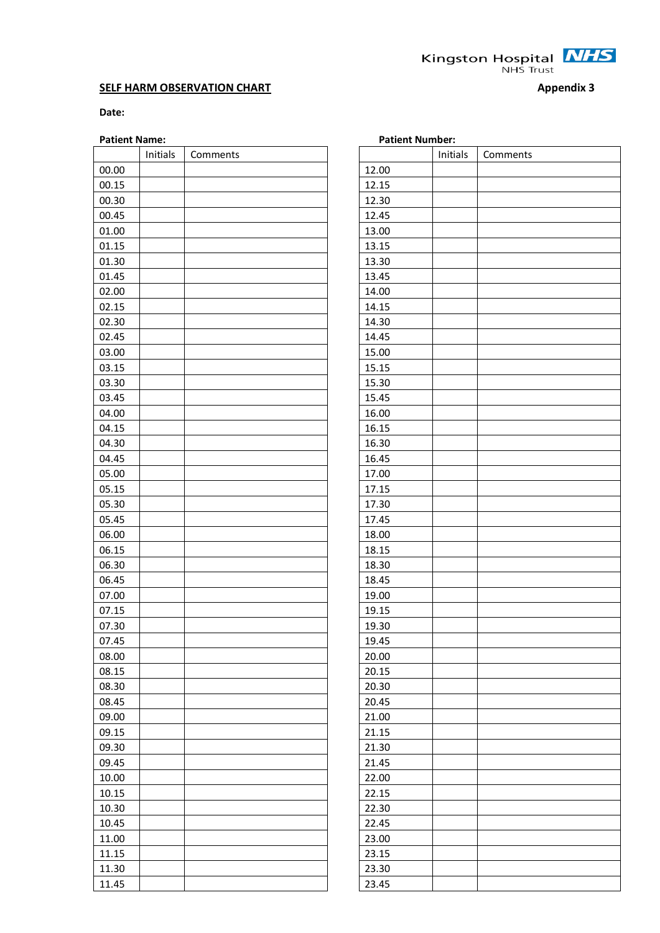**Kingston Hospital**  $\frac{NHS}{NHS}$ 

#### **SELF HARM OBSERVATION CHART Appendix 3**

#### **Date:**

#### **Patient Name:**

|       | Initials | Comments |       | Initials | Comments |
|-------|----------|----------|-------|----------|----------|
| 00.00 |          |          | 12.00 |          |          |
| 00.15 |          |          | 12.15 |          |          |
| 00.30 |          |          | 12.30 |          |          |
| 00.45 |          |          | 12.45 |          |          |
| 01.00 |          |          | 13.00 |          |          |
| 01.15 |          |          | 13.15 |          |          |
| 01.30 |          |          | 13.30 |          |          |
| 01.45 |          |          | 13.45 |          |          |
| 02.00 |          |          | 14.00 |          |          |
| 02.15 |          |          | 14.15 |          |          |
| 02.30 |          |          | 14.30 |          |          |
| 02.45 |          |          | 14.45 |          |          |
| 03.00 |          |          | 15.00 |          |          |
| 03.15 |          |          | 15.15 |          |          |
| 03.30 |          |          | 15.30 |          |          |
| 03.45 |          |          | 15.45 |          |          |
| 04.00 |          |          | 16.00 |          |          |
| 04.15 |          |          | 16.15 |          |          |
| 04.30 |          |          | 16.30 |          |          |
| 04.45 |          |          | 16.45 |          |          |
| 05.00 |          |          | 17.00 |          |          |
| 05.15 |          |          | 17.15 |          |          |
| 05.30 |          |          | 17.30 |          |          |
| 05.45 |          |          | 17.45 |          |          |
| 06.00 |          |          | 18.00 |          |          |
| 06.15 |          |          | 18.15 |          |          |
| 06.30 |          |          | 18.30 |          |          |
| 06.45 |          |          | 18.45 |          |          |
| 07.00 |          |          | 19.00 |          |          |
| 07.15 |          |          | 19.15 |          |          |
| 07.30 |          |          | 19.30 |          |          |
| 07.45 |          |          | 19.45 |          |          |
| 08.00 |          |          | 20.00 |          |          |
| 08.15 |          |          | 20.15 |          |          |
| 08.30 |          |          | 20.30 |          |          |
| 08.45 |          |          | 20.45 |          |          |
| 09.00 |          |          | 21.00 |          |          |
| 09.15 |          |          | 21.15 |          |          |
| 09.30 |          |          | 21.30 |          |          |
| 09.45 |          |          | 21.45 |          |          |
| 10.00 |          |          | 22.00 |          |          |
| 10.15 |          |          | 22.15 |          |          |
| 10.30 |          |          | 22.30 |          |          |
| 10.45 |          |          | 22.45 |          |          |
| 11.00 |          |          | 23.00 |          |          |
| 11.15 |          |          | 23.15 |          |          |
| 11.30 |          |          | 23.30 |          |          |
| 11.45 |          |          | 23.45 |          |          |

| <b>Patient Number:</b> |          |          |  |  |  |
|------------------------|----------|----------|--|--|--|
|                        | Initials | Comments |  |  |  |
| 12.00                  |          |          |  |  |  |
| 12.15                  |          |          |  |  |  |
| 12.30                  |          |          |  |  |  |
| 12.45                  |          |          |  |  |  |
| 13.00                  |          |          |  |  |  |
| 13.15                  |          |          |  |  |  |
| 13.30                  |          |          |  |  |  |
| 13.45                  |          |          |  |  |  |
| 14.00                  |          |          |  |  |  |
| 14.15                  |          |          |  |  |  |
| 14.30                  |          |          |  |  |  |
| 14.45                  |          |          |  |  |  |
| 15.00                  |          |          |  |  |  |
| 15.15                  |          |          |  |  |  |
| 15.30                  |          |          |  |  |  |
| 15.45                  |          |          |  |  |  |
| 16.00                  |          |          |  |  |  |
| 16.15                  |          |          |  |  |  |
| 16.30                  |          |          |  |  |  |
| 16.45                  |          |          |  |  |  |
| 17.00                  |          |          |  |  |  |
| 17.15                  |          |          |  |  |  |
| 17.30                  |          |          |  |  |  |
| 17.45                  |          |          |  |  |  |
| 18.00                  |          |          |  |  |  |
| 18.15                  |          |          |  |  |  |
| 18.30                  |          |          |  |  |  |
| 18.45                  |          |          |  |  |  |
| 19.00                  |          |          |  |  |  |
| 19.15                  |          |          |  |  |  |
| 19.30                  |          |          |  |  |  |
| 19.45                  |          |          |  |  |  |
| 20.00                  |          |          |  |  |  |
| 20.15                  |          |          |  |  |  |
| 20.30                  |          |          |  |  |  |
| 20.45                  |          |          |  |  |  |
| 21.00                  |          |          |  |  |  |
| 21.15                  |          |          |  |  |  |
| 21.30                  |          |          |  |  |  |
| 21.45                  |          |          |  |  |  |
| 22.00                  |          |          |  |  |  |
| 22.15                  |          |          |  |  |  |
| 22.30                  |          |          |  |  |  |
| 22.45                  |          |          |  |  |  |
| 23.00                  |          |          |  |  |  |
| 23.15                  |          |          |  |  |  |
|                        |          |          |  |  |  |
| 23.30                  |          |          |  |  |  |
| 23.45                  |          |          |  |  |  |

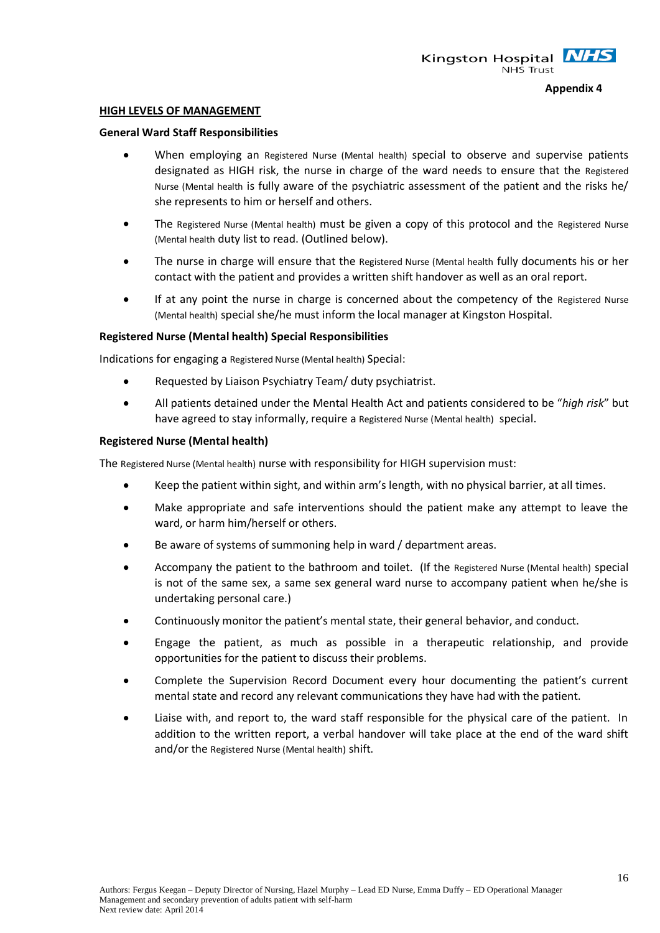#### **HIGH LEVELS OF MANAGEMENT**

#### **General Ward Staff Responsibilities**

- When employing an Registered Nurse (Mental health) special to observe and supervise patients designated as HIGH risk, the nurse in charge of the ward needs to ensure that the Registered Nurse (Mental health is fully aware of the psychiatric assessment of the patient and the risks he/ she represents to him or herself and others.
- The Registered Nurse (Mental health) must be given a copy of this protocol and the Registered Nurse (Mental health duty list to read. (Outlined below).
- The nurse in charge will ensure that the Registered Nurse (Mental health fully documents his or her contact with the patient and provides a written shift handover as well as an oral report.
- If at any point the nurse in charge is concerned about the competency of the Registered Nurse (Mental health) special she/he must inform the local manager at Kingston Hospital.

#### **Registered Nurse (Mental health) Special Responsibilities**

Indications for engaging a Registered Nurse (Mental health) Special:

- $\bullet$ Requested by Liaison Psychiatry Team/ duty psychiatrist.
- All patients detained under the Mental Health Act and patients considered to be "*high risk*" but have agreed to stay informally, require a Registered Nurse (Mental health) special.

#### **Registered Nurse (Mental health)**

The Registered Nurse (Mental health) nurse with responsibility for HIGH supervision must:

- Keep the patient within sight, and within arm's length, with no physical barrier, at all times.
- $\bullet$ Make appropriate and safe interventions should the patient make any attempt to leave the ward, or harm him/herself or others.
- Be aware of systems of summoning help in ward / department areas.
- Accompany the patient to the bathroom and toilet. (If the Registered Nurse (Mental health) special is not of the same sex, a same sex general ward nurse to accompany patient when he/she is undertaking personal care.)
- Continuously monitor the patient's mental state, their general behavior, and conduct.
- Engage the patient, as much as possible in a therapeutic relationship, and provide opportunities for the patient to discuss their problems.
- Complete the Supervision Record Document every hour documenting the patient's current mental state and record any relevant communications they have had with the patient.
- Liaise with, and report to, the ward staff responsible for the physical care of the patient. In addition to the written report, a verbal handover will take place at the end of the ward shift and/or the Registered Nurse (Mental health) shift.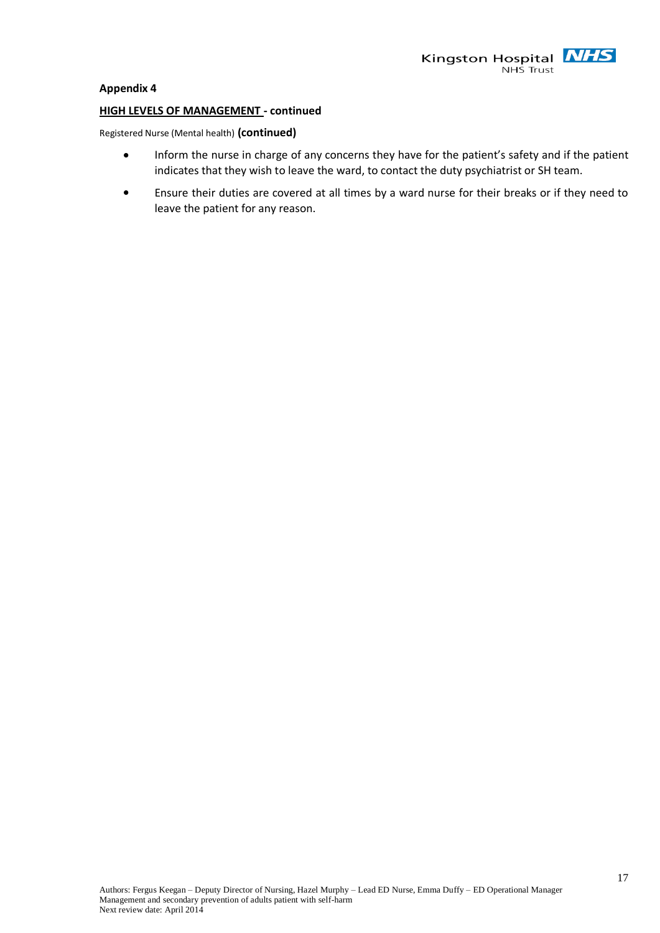

#### **HIGH LEVELS OF MANAGEMENT - continued**

Registered Nurse (Mental health) **(continued)**

- Inform the nurse in charge of any concerns they have for the patient's safety and if the patient  $\bullet$ indicates that they wish to leave the ward, to contact the duty psychiatrist or SH team.
- Ensure their duties are covered at all times by a ward nurse for their breaks or if they need to  $\bullet$ leave the patient for any reason.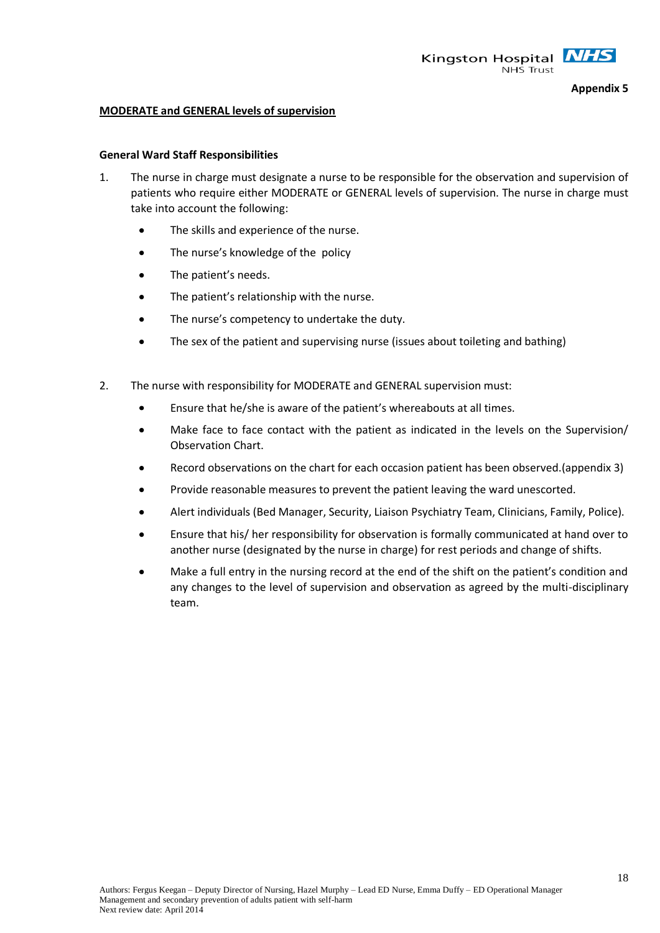

#### **MODERATE and GENERAL levels of supervision**

#### **General Ward Staff Responsibilities**

- 1. The nurse in charge must designate a nurse to be responsible for the observation and supervision of patients who require either MODERATE or GENERAL levels of supervision. The nurse in charge must take into account the following:
	- The skills and experience of the nurse.  $\bullet$
	- The nurse's knowledge of the policy
	- $\bullet$ The patient's needs.
	- The patient's relationship with the nurse.  $\bullet$
	- $\bullet$ The nurse's competency to undertake the duty.
	- The sex of the patient and supervising nurse (issues about toileting and bathing)  $\bullet$
- 2. The nurse with responsibility for MODERATE and GENERAL supervision must:
	- $\bullet$ Ensure that he/she is aware of the patient's whereabouts at all times.
	- Make face to face contact with the patient as indicated in the levels on the Supervision/  $\bullet$ Observation Chart.
	- Record observations on the chart for each occasion patient has been observed.(appendix 3)
	- Provide reasonable measures to prevent the patient leaving the ward unescorted.
	- Alert individuals (Bed Manager, Security, Liaison Psychiatry Team, Clinicians, Family, Police).
	- Ensure that his/ her responsibility for observation is formally communicated at hand over to another nurse (designated by the nurse in charge) for rest periods and change of shifts.
	- Make a full entry in the nursing record at the end of the shift on the patient's condition and any changes to the level of supervision and observation as agreed by the multi-disciplinary team.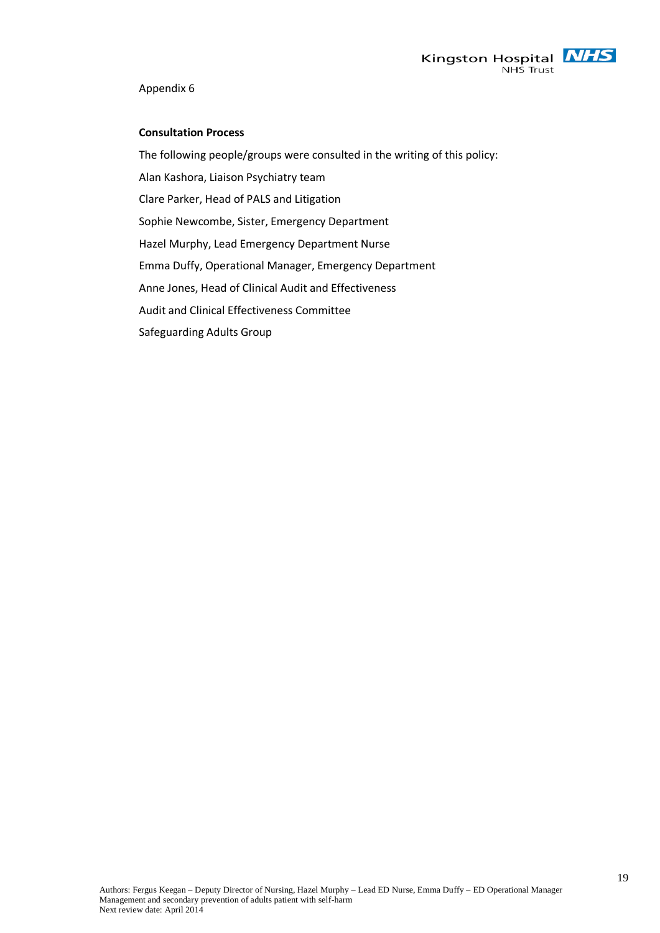

#### **Consultation Process**

The following people/groups were consulted in the writing of this policy: Alan Kashora, Liaison Psychiatry team Clare Parker, Head of PALS and Litigation Sophie Newcombe, Sister, Emergency Department Hazel Murphy, Lead Emergency Department Nurse Emma Duffy, Operational Manager, Emergency Department Anne Jones, Head of Clinical Audit and Effectiveness Audit and Clinical Effectiveness Committee Safeguarding Adults Group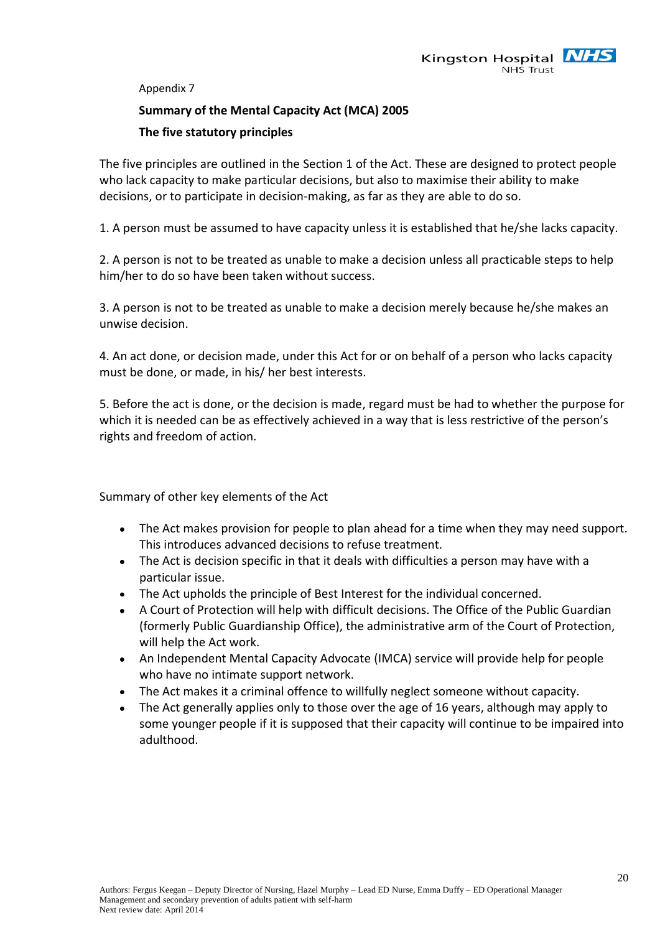

#### **Summary of the Mental Capacity Act (MCA) 2005**

#### **The five statutory principles**

The five principles are outlined in the Section 1 of the Act. These are designed to protect people who lack capacity to make particular decisions, but also to maximise their ability to make decisions, or to participate in decision-making, as far as they are able to do so.

1. A person must be assumed to have capacity unless it is established that he/she lacks capacity.

2. A person is not to be treated as unable to make a decision unless all practicable steps to help him/her to do so have been taken without success.

3. A person is not to be treated as unable to make a decision merely because he/she makes an unwise decision.

4. An act done, or decision made, under this Act for or on behalf of a person who lacks capacity must be done, or made, in his/ her best interests.

5. Before the act is done, or the decision is made, regard must be had to whether the purpose for which it is needed can be as effectively achieved in a way that is less restrictive of the person's rights and freedom of action.

Summary of other key elements of the Act

- The Act makes provision for people to plan ahead for a time when they may need support. This introduces [advanced decisions](http://en.wikipedia.org/wiki/Advance_directives) to refuse treatment.
- The Act is decision specific in that it deals with difficulties a person may have with a  $\bullet$ particular issue.
- The Act upholds the principle of Best Interest for the individual concerned.
- A Court of Protection will help with difficult decisions. The [Office of the Public Guardian](http://www.publicguardian.gov.uk/) (formerly Public Guardianship Office), the administrative arm of the Court of Protection, will help the Act work.
- An [Independent Mental Capacity Advocate](http://www.dh.gov.uk/en/Policyandguidance/Healthandsocialcaretopics/Socialcare/IMCA/index.htm) (IMCA) service will provide help for people who have no intimate support network.
- The Act makes it a criminal offence to willfully neglect someone without capacity.
- The Act generally applies only to those over the age of 16 years, although may apply to some younger people if it is supposed that their capacity will continue to be impaired into adulthood.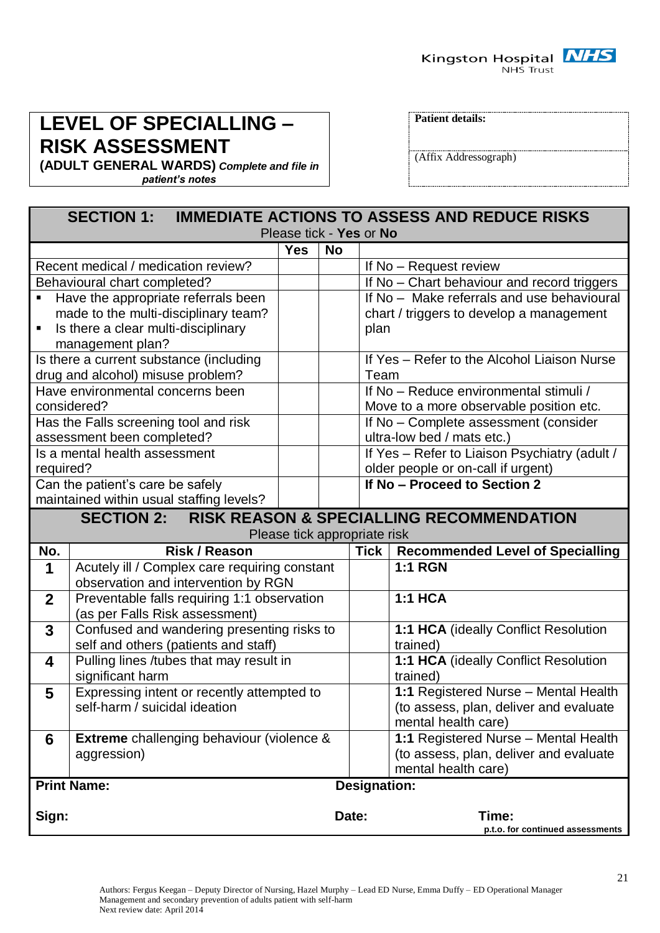

# **LEVEL OF SPECIALLING – RISK ASSESSMENT**

**(ADULT GENERAL WARDS)** *Complete and file in patient's notes*

**Patient details:**

(Affix Addressograph)

| <b>IMMEDIATE ACTIONS TO ASSESS AND REDUCE RISKS</b><br><b>SECTION 1:</b> |                                                  |                              |           |      |                                               |  |
|--------------------------------------------------------------------------|--------------------------------------------------|------------------------------|-----------|------|-----------------------------------------------|--|
| Please tick - Yes or No                                                  |                                                  |                              |           |      |                                               |  |
|                                                                          |                                                  | <b>Yes</b>                   | <b>No</b> |      |                                               |  |
|                                                                          | Recent medical / medication review?              |                              |           |      | If No - Request review                        |  |
|                                                                          | Behavioural chart completed?                     |                              |           |      | If No - Chart behaviour and record triggers   |  |
|                                                                          | Have the appropriate referrals been              |                              |           |      | If No - Make referrals and use behavioural    |  |
|                                                                          | made to the multi-disciplinary team?             |                              |           |      | chart / triggers to develop a management      |  |
| $\blacksquare$                                                           | Is there a clear multi-disciplinary              |                              |           | plan |                                               |  |
|                                                                          | management plan?                                 |                              |           |      |                                               |  |
|                                                                          | Is there a current substance (including          |                              |           |      | If Yes - Refer to the Alcohol Liaison Nurse   |  |
|                                                                          | drug and alcohol) misuse problem?                |                              |           | Team |                                               |  |
|                                                                          | Have environmental concerns been                 |                              |           |      | If No - Reduce environmental stimuli /        |  |
|                                                                          | considered?                                      |                              |           |      | Move to a more observable position etc.       |  |
|                                                                          | Has the Falls screening tool and risk            |                              |           |      | If No - Complete assessment (consider         |  |
|                                                                          | assessment been completed?                       |                              |           |      | ultra-low bed / mats etc.)                    |  |
|                                                                          | Is a mental health assessment                    |                              |           |      | If Yes - Refer to Liaison Psychiatry (adult / |  |
| required?                                                                |                                                  |                              |           |      | older people or on-call if urgent)            |  |
| If No - Proceed to Section 2<br>Can the patient's care be safely         |                                                  |                              |           |      |                                               |  |
|                                                                          | maintained within usual staffing levels?         |                              |           |      |                                               |  |
| SECTION 2: RISK REASON & SPECIALLING RECOMMENDATION                      |                                                  |                              |           |      |                                               |  |
|                                                                          |                                                  | Please tick appropriate risk |           |      |                                               |  |
| No.                                                                      | <b>Risk / Reason</b>                             |                              |           | Tick | <b>Recommended Level of Specialling</b>       |  |
| 1                                                                        | Acutely ill / Complex care requiring constant    |                              |           |      | <b>1:1 RGN</b>                                |  |
|                                                                          | observation and intervention by RGN              |                              |           |      |                                               |  |
| $\mathbf{2}$                                                             | Preventable falls requiring 1:1 observation      |                              |           |      | <b>1:1 HCA</b>                                |  |
|                                                                          | (as per Falls Risk assessment)                   |                              |           |      |                                               |  |
| $\overline{3}$                                                           | Confused and wandering presenting risks to       |                              |           |      | 1:1 HCA (ideally Conflict Resolution          |  |
|                                                                          | self and others (patients and staff)             |                              |           |      | trained)                                      |  |
| 4                                                                        | Pulling lines /tubes that may result in          |                              |           |      | 1:1 HCA (ideally Conflict Resolution          |  |
| significant harm                                                         |                                                  |                              |           |      | trained)                                      |  |
| 5                                                                        | Expressing intent or recently attempted to       |                              |           |      | 1:1 Registered Nurse - Mental Health          |  |
|                                                                          | self-harm / suicidal ideation                    |                              |           |      | (to assess, plan, deliver and evaluate        |  |
|                                                                          |                                                  |                              |           |      | mental health care)                           |  |
| 6                                                                        | <b>Extreme</b> challenging behaviour (violence & |                              |           |      | 1:1 Registered Nurse - Mental Health          |  |
|                                                                          | aggression)                                      |                              |           |      | (to assess, plan, deliver and evaluate        |  |
|                                                                          | mental health care)                              |                              |           |      |                                               |  |
| <b>Print Name:</b><br><b>Designation:</b>                                |                                                  |                              |           |      |                                               |  |
|                                                                          |                                                  |                              |           |      |                                               |  |
| Sign:                                                                    |                                                  |                              | Date:     |      | Time:<br>p.t.o. for continued assessments     |  |